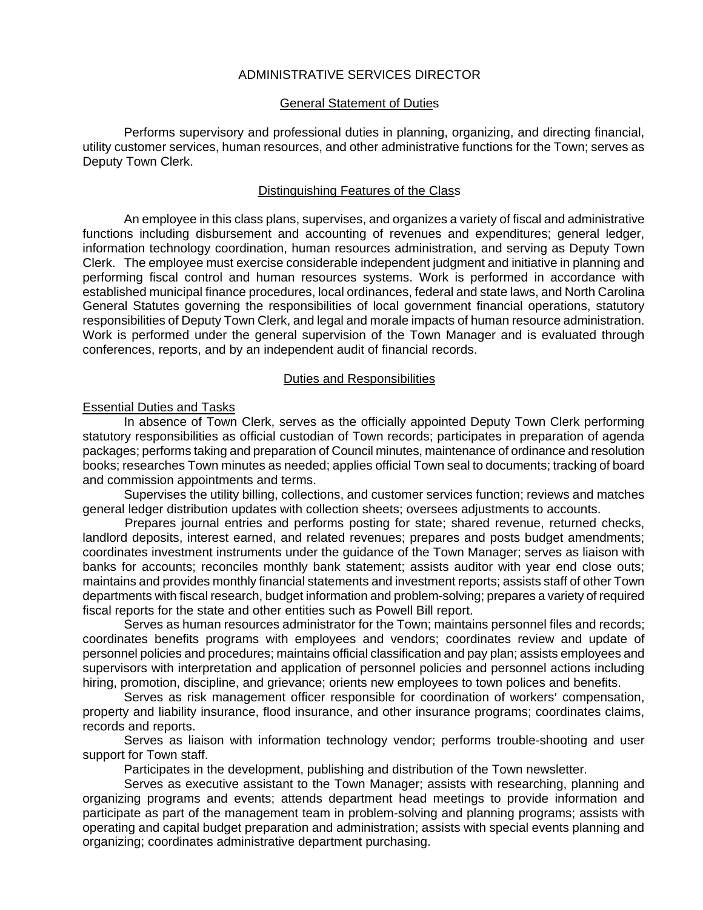# ADMINISTRATIVE SERVICES DIRECTOR

### General Statement of Duties

Performs supervisory and professional duties in planning, organizing, and directing financial, utility customer services, human resources, and other administrative functions for the Town; serves as Deputy Town Clerk.

### Distinguishing Features of the Class

An employee in this class plans, supervises, and organizes a variety of fiscal and administrative functions including disbursement and accounting of revenues and expenditures; general ledger, information technology coordination, human resources administration, and serving as Deputy Town Clerk. The employee must exercise considerable independent judgment and initiative in planning and performing fiscal control and human resources systems. Work is performed in accordance with established municipal finance procedures, local ordinances, federal and state laws, and North Carolina General Statutes governing the responsibilities of local government financial operations, statutory responsibilities of Deputy Town Clerk, and legal and morale impacts of human resource administration. Work is performed under the general supervision of the Town Manager and is evaluated through conferences, reports, and by an independent audit of financial records.

# Duties and Responsibilities

# Essential Duties and Tasks

In absence of Town Clerk, serves as the officially appointed Deputy Town Clerk performing statutory responsibilities as official custodian of Town records; participates in preparation of agenda packages; performs taking and preparation of Council minutes, maintenance of ordinance and resolution books; researches Town minutes as needed; applies official Town seal to documents; tracking of board and commission appointments and terms.

Supervises the utility billing, collections, and customer services function; reviews and matches general ledger distribution updates with collection sheets; oversees adjustments to accounts.

 Prepares journal entries and performs posting for state; shared revenue, returned checks, landlord deposits, interest earned, and related revenues; prepares and posts budget amendments; coordinates investment instruments under the guidance of the Town Manager; serves as liaison with banks for accounts; reconciles monthly bank statement; assists auditor with year end close outs; maintains and provides monthly financial statements and investment reports; assists staff of other Town departments with fiscal research, budget information and problem-solving; prepares a variety of required fiscal reports for the state and other entities such as Powell Bill report.

Serves as human resources administrator for the Town; maintains personnel files and records; coordinates benefits programs with employees and vendors; coordinates review and update of personnel policies and procedures; maintains official classification and pay plan; assists employees and supervisors with interpretation and application of personnel policies and personnel actions including hiring, promotion, discipline, and grievance; orients new employees to town polices and benefits.

Serves as risk management officer responsible for coordination of workers' compensation, property and liability insurance, flood insurance, and other insurance programs; coordinates claims, records and reports.

Serves as liaison with information technology vendor; performs trouble-shooting and user support for Town staff.

Participates in the development, publishing and distribution of the Town newsletter.

Serves as executive assistant to the Town Manager; assists with researching, planning and organizing programs and events; attends department head meetings to provide information and participate as part of the management team in problem-solving and planning programs; assists with operating and capital budget preparation and administration; assists with special events planning and organizing; coordinates administrative department purchasing.